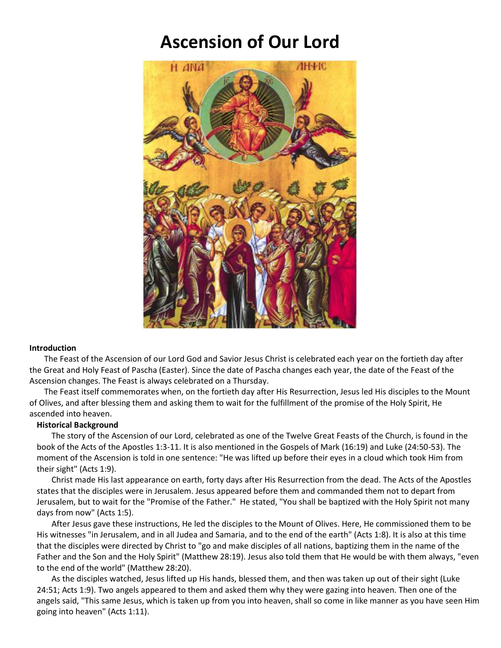## **Ascension of Our Lord**



## **Introduction**

The Feast of the Ascension of our Lord God and Savior Jesus Christ is celebrated each year on the fortieth day after the Great and Holy Feast of Pascha (Easter). Since the date of Pascha changes each year, the date of the Feast of the Ascension changes. The Feast is always celebrated on a Thursday.

The Feast itself commemorates when, on the fortieth day after His Resurrection, Jesus led His disciples to the Mount of Olives, and after blessing them and asking them to wait for the fulfillment of the promise of the Holy Spirit, He ascended into heaven.

## **Historical Background**

The story of the Ascension of our Lord, celebrated as one of the Twelve Great Feasts of the Church, is found in the book of the Acts of the Apostles 1:3-11. It is also mentioned in the Gospels of Mark (16:19) and Luke (24:50-53). The moment of the Ascension is told in one sentence: "He was lifted up before their eyes in a cloud which took Him from their sight" (Acts 1:9).

Christ made His last appearance on earth, forty days after His Resurrection from the dead. The Acts of the Apostles states that the disciples were in Jerusalem. Jesus appeared before them and commanded them not to depart from Jerusalem, but to wait for the "Promise of the Father." He stated, "You shall be baptized with the Holy Spirit not many days from now" (Acts 1:5).

After Jesus gave these instructions, He led the disciples to the Mount of Olives. Here, He commissioned them to be His witnesses "in Jerusalem, and in all Judea and Samaria, and to the end of the earth" (Acts 1:8). It is also at this time that the disciples were directed by Christ to "go and make disciples of all nations, baptizing them in the name of the Father and the Son and the Holy Spirit" (Matthew 28:19). Jesus also told them that He would be with them always, "even to the end of the world" (Matthew 28:20).

As the disciples watched, Jesus lifted up His hands, blessed them, and then was taken up out of their sight (Luke 24:51; Acts 1:9). Two angels appeared to them and asked them why they were gazing into heaven. Then one of the angels said, "This same Jesus, which is taken up from you into heaven, shall so come in like manner as you have seen Him going into heaven" (Acts 1:11).